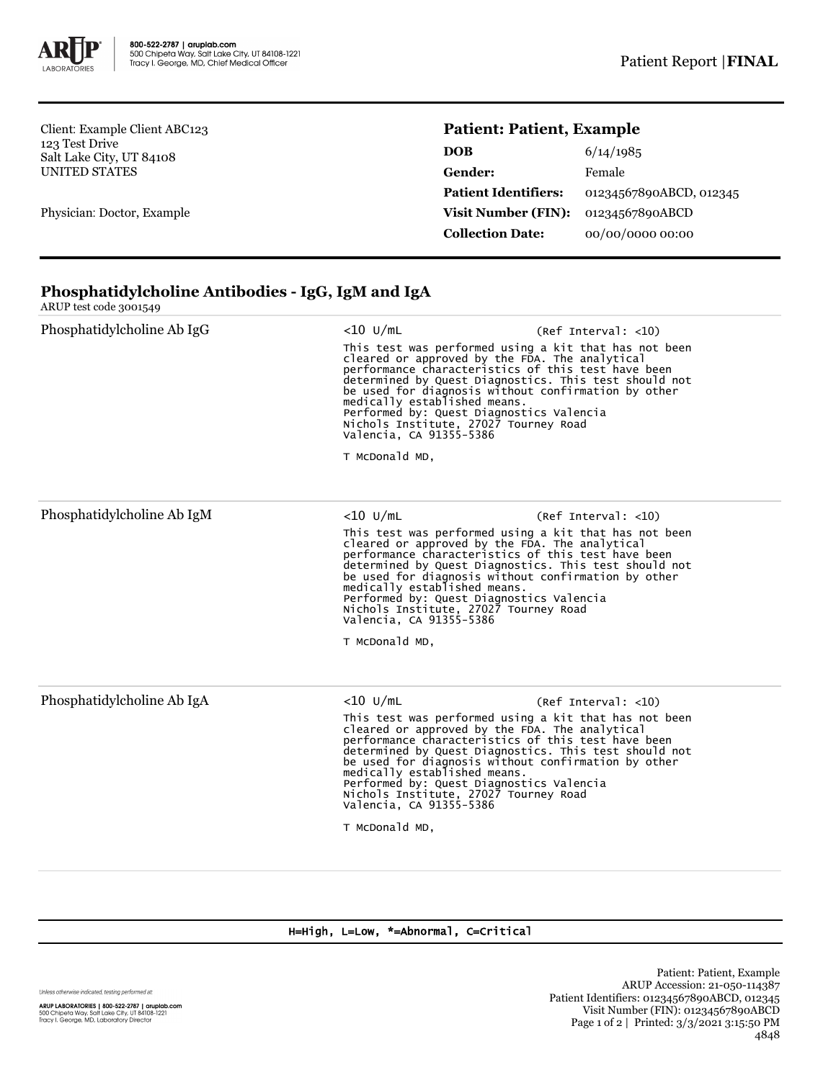

Client: Example Client ABC123 123 Test Drive Salt Lake City, UT 84108 UNITED STATES

Physician: Doctor, Example

## **Patient: Patient, Example**

| 6/14/1985               |
|-------------------------|
| Female                  |
| 01234567890ABCD, 012345 |
| 01234567890ABCD         |
| 00/00/0000 00:00        |
|                         |

## **Phosphatidylcholine Antibodies - IgG, IgM and IgA**

|  | ARUP test code 3001549 |  |
|--|------------------------|--|
|  |                        |  |

| Phosphatidylcholine Ab IgG | $<$ 10 U/mL<br>(Ref Interval: <10)<br>This test was performed using a kit that has not been<br>cleared or approved by the FDA. The analytical<br>performance characteristics of this test have been<br>determined by Quest Diagnostics. This test should not<br>be used for diagnosis without confirmation by other<br>medically established means.<br>Performed by: Quest Diagnostics Valencia<br>Nichols Institute, 27027 Tourney Road<br>Valencia, CA 91355-5386<br>T McDonald MD, |                                                                                                                                                                                                                                                                                                                                                                                                                                                      |  |  |
|----------------------------|---------------------------------------------------------------------------------------------------------------------------------------------------------------------------------------------------------------------------------------------------------------------------------------------------------------------------------------------------------------------------------------------------------------------------------------------------------------------------------------|------------------------------------------------------------------------------------------------------------------------------------------------------------------------------------------------------------------------------------------------------------------------------------------------------------------------------------------------------------------------------------------------------------------------------------------------------|--|--|
| Phosphatidylcholine Ab IgM | $<$ 10 U/mL<br>(Ref Interval: <10)<br>This test was performed using a kit that has not been<br>cleared or approved by the FDA. The analytical<br>performance characteristics of this test have been<br>determined by Quest Diagnostics. This test should not<br>be used for diagnosis without confirmation by other<br>medically established means.<br>Performed by: Quest Diagnostics Valencia<br>Nichols Institute, 27027 Tourney Road<br>Valencia, CA 91355-5386<br>T McDonald MD, |                                                                                                                                                                                                                                                                                                                                                                                                                                                      |  |  |
| Phosphatidylcholine Ab IgA | $<$ 10 U/mL<br>T McDonald MD,                                                                                                                                                                                                                                                                                                                                                                                                                                                         | (Ref Interval: <10)<br>This test was performed using a kit that has not been<br>cleared or approved by the FDA. The analytical<br>performance characteristics of this test have been<br>determined by Quest Diagnostics. This test should not<br>be used for diagnosis without confirmation by other<br>medically established means.<br>Performed by: Quest Diagnostics Valencia<br>Nichols Institute, 27027 Tourney Road<br>Valencia, CA 91355-5386 |  |  |

## H=High, L=Low, \*=Abnormal, C=Critical

Unless otherwise indicated, testing performed at: